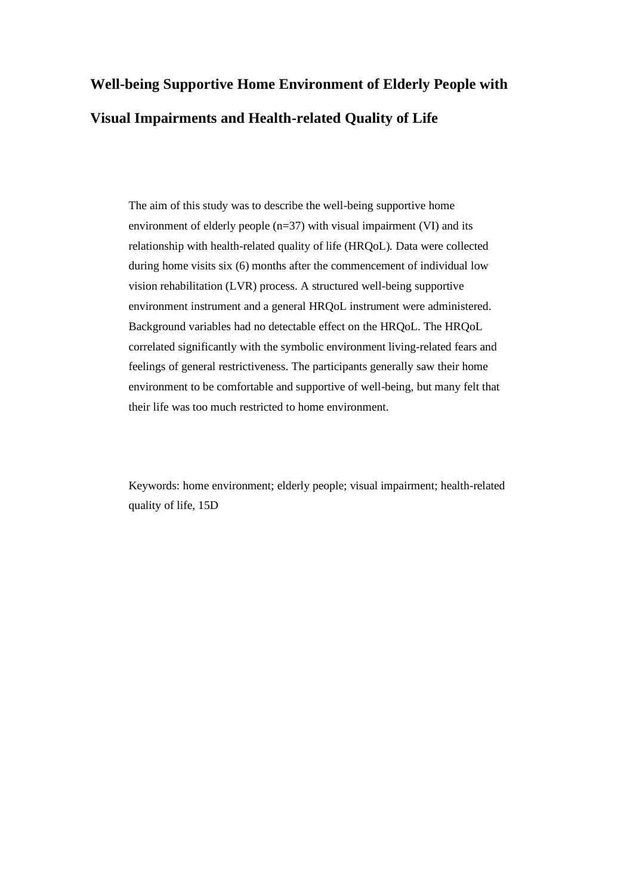# **Well-being Supportive Home Environment of Elderly People with Visual Impairments and Health-related Quality of Life**

The aim of this study was to describe the well-being supportive home environment of elderly people (n=37) with visual impairment (VI) and its relationship with health-related quality of life (HRQoL). Data were collected during home visits six (6) months after the commencement of individual low vision rehabilitation (LVR) process. A structured well-being supportive environment instrument and a general HRQoL instrument were administered. Background variables had no detectable effect on the HRQoL. The HRQoL correlated significantly with the symbolic environment living-related fears and feelings of general restrictiveness. The participants generally saw their home environment to be comfortable and supportive of well-being, but many felt that their life was too much restricted to home environment.

Keywords: home environment; elderly people; visual impairment; health-related quality of life, 15D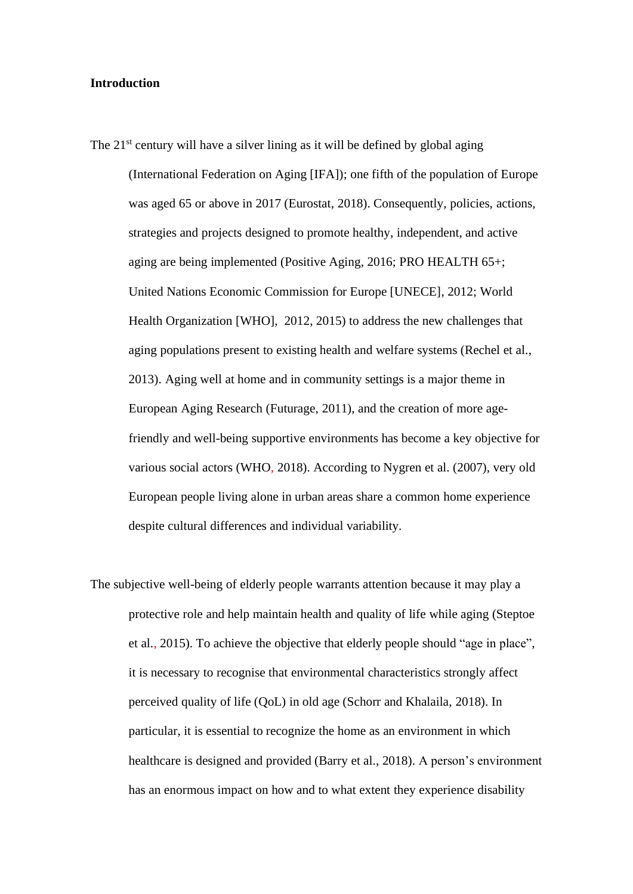#### **Introduction**

- The  $21<sup>st</sup>$  century will have a silver lining as it will be defined by global aging (International Federation on Aging [IFA]); one fifth of the population of Europe was aged 65 or above in 2017 (Eurostat, 2018). Consequently, policies, actions, strategies and projects designed to promote healthy, independent, and active aging are being implemented (Positive Aging, 2016; PRO HEALTH 65+; United Nations Economic Commission for Europe [UNECE], 2012; World Health Organization [WHO], 2012, 2015) to address the new challenges that aging populations present to existing health and welfare systems (Rechel et al., 2013). Aging well at home and in community settings is a major theme in European Aging Research (Futurage, 2011), and the creation of more agefriendly and well-being supportive environments has become a key objective for various social actors (WHO, 2018). According to Nygren et al. (2007), very old European people living alone in urban areas share a common home experience despite cultural differences and individual variability.
- The subjective well-being of elderly people warrants attention because it may play a protective role and help maintain health and quality of life while aging (Steptoe et al., 2015). To achieve the objective that elderly people should "age in place", it is necessary to recognise that environmental characteristics strongly affect perceived quality of life (QoL) in old age (Schorr and Khalaila, 2018). In particular, it is essential to recognize the home as an environment in which healthcare is designed and provided (Barry et al., 2018). A person's environment has an enormous impact on how and to what extent they experience disability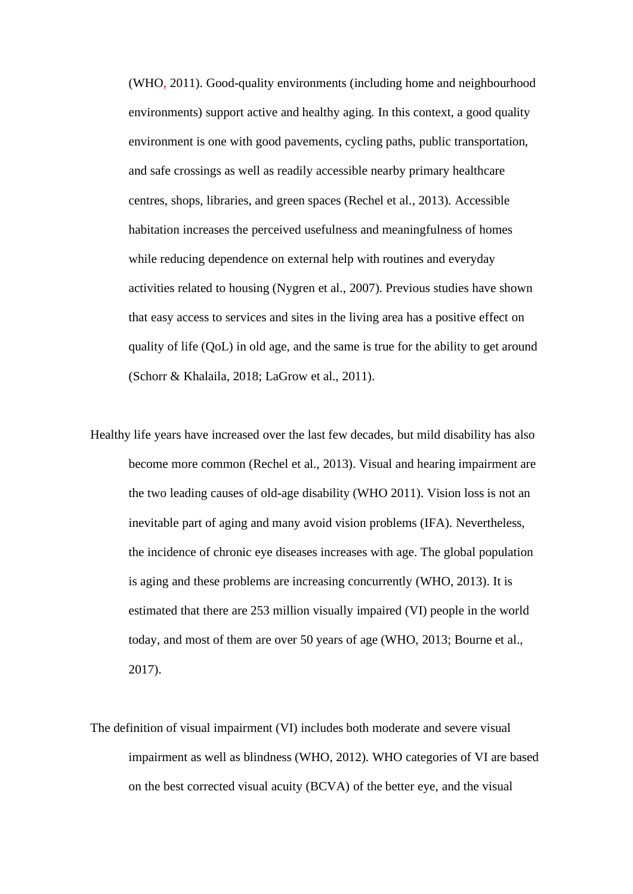(WHO, 2011). Good-quality environments (including home and neighbourhood environments) support active and healthy aging. In this context, a good quality environment is one with good pavements, cycling paths, public transportation, and safe crossings as well as readily accessible nearby primary healthcare centres, shops, libraries, and green spaces (Rechel et al., 2013). Accessible habitation increases the perceived usefulness and meaningfulness of homes while reducing dependence on external help with routines and everyday activities related to housing (Nygren et al., 2007). Previous studies have shown that easy access to services and sites in the living area has a positive effect on quality of life (QoL) in old age, and the same is true for the ability to get around (Schorr & Khalaila, 2018; LaGrow et al., 2011).

- Healthy life years have increased over the last few decades, but mild disability has also become more common (Rechel et al., 2013). Visual and hearing impairment are the two leading causes of old-age disability (WHO 2011). Vision loss is not an inevitable part of aging and many avoid vision problems (IFA). Nevertheless, the incidence of chronic eye diseases increases with age. The global population is aging and these problems are increasing concurrently (WHO, 2013). It is estimated that there are 253 million visually impaired (VI) people in the world today, and most of them are over 50 years of age (WHO, 2013; Bourne et al., 2017).
- The definition of visual impairment (VI) includes both moderate and severe visual impairment as well as blindness (WHO, 2012). WHO categories of VI are based on the best corrected visual acuity (BCVA) of the better eye, and the visual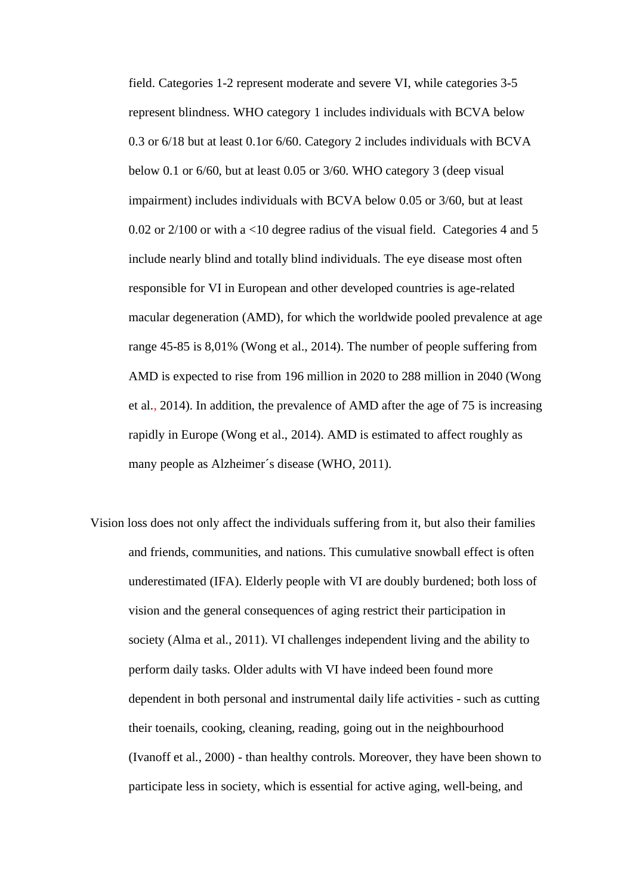field. Categories 1-2 represent moderate and severe VI, while categories 3-5 represent blindness. WHO category 1 includes individuals with BCVA below 0.3 or 6/18 but at least 0.1or 6/60. Category 2 includes individuals with BCVA below 0.1 or 6/60, but at least 0.05 or 3/60. WHO category 3 (deep visual impairment) includes individuals with BCVA below 0.05 or 3/60, but at least 0.02 or 2/100 or with a <10 degree radius of the visual field. Categories 4 and 5 include nearly blind and totally blind individuals. The eye disease most often responsible for VI in European and other developed countries is age-related macular degeneration (AMD), for which the worldwide pooled prevalence at age range 45-85 is 8,01% (Wong et al., 2014). The number of people suffering from AMD is expected to rise from 196 million in 2020 to 288 million in 2040 (Wong et al., 2014). In addition, the prevalence of AMD after the age of 75 is increasing rapidly in Europe (Wong et al., 2014). AMD is estimated to affect roughly as many people as Alzheimer´s disease (WHO, 2011).

Vision loss does not only affect the individuals suffering from it, but also their families and friends, communities, and nations. This cumulative snowball effect is often underestimated (IFA). Elderly people with VI are doubly burdened; both loss of vision and the general consequences of aging restrict their participation in society (Alma et al., 2011). VI challenges independent living and the ability to perform daily tasks. Older adults with VI have indeed been found more dependent in both personal and instrumental daily life activities - such as cutting their toenails, cooking, cleaning, reading, going out in the neighbourhood (Ivanoff et al., 2000) - than healthy controls. Moreover, they have been shown to participate less in society, which is essential for active aging, well-being, and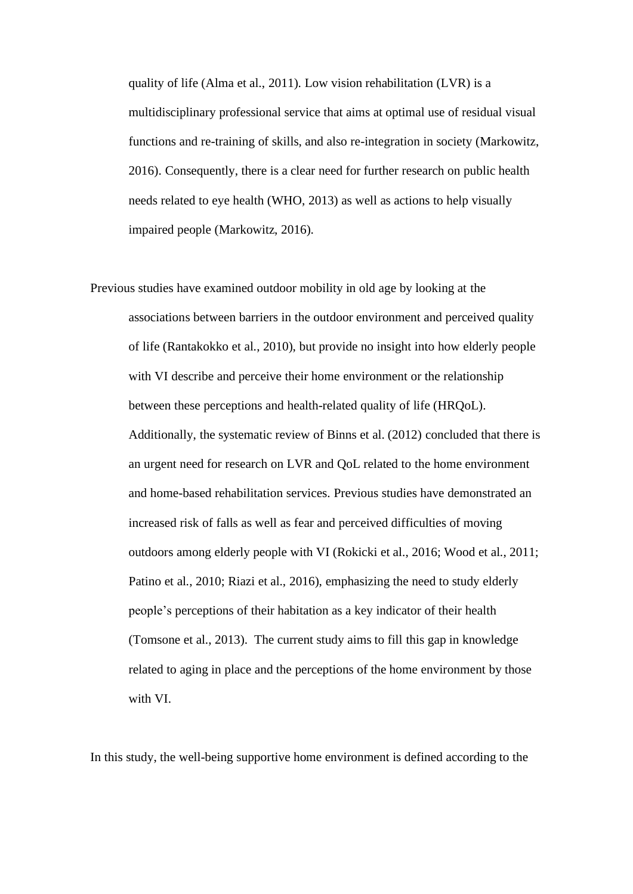quality of life (Alma et al., 2011). Low vision rehabilitation (LVR) is a multidisciplinary professional service that aims at optimal use of residual visual functions and re-training of skills, and also re-integration in society (Markowitz, 2016). Consequently, there is a clear need for further research on public health needs related to eye health (WHO, 2013) as well as actions to help visually impaired people (Markowitz, 2016).

Previous studies have examined outdoor mobility in old age by looking at the associations between barriers in the outdoor environment and perceived quality of life (Rantakokko et al., 2010), but provide no insight into how elderly people with VI describe and perceive their home environment or the relationship between these perceptions and health-related quality of life (HRQoL). Additionally, the systematic review of Binns et al. (2012) concluded that there is an urgent need for research on LVR and QoL related to the home environment and home-based rehabilitation services. Previous studies have demonstrated an increased risk of falls as well as fear and perceived difficulties of moving outdoors among elderly people with VI (Rokicki et al., 2016; Wood et al., 2011; Patino et al., 2010; Riazi et al., 2016), emphasizing the need to study elderly people's perceptions of their habitation as a key indicator of their health (Tomsone et al., 2013). The current study aims to fill this gap in knowledge related to aging in place and the perceptions of the home environment by those with VI.

In this study, the well-being supportive home environment is defined according to the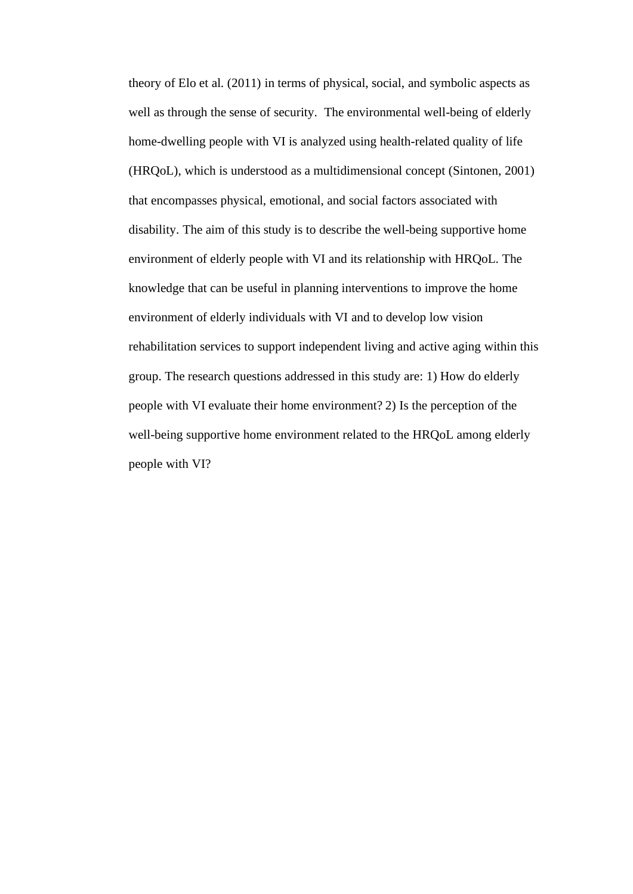theory of Elo et al. (2011) in terms of physical, social, and symbolic aspects as well as through the sense of security. The environmental well-being of elderly home-dwelling people with VI is analyzed using health-related quality of life (HRQoL), which is understood as a multidimensional concept (Sintonen, 2001) that encompasses physical, emotional, and social factors associated with disability. The aim of this study is to describe the well-being supportive home environment of elderly people with VI and its relationship with HRQoL. The knowledge that can be useful in planning interventions to improve the home environment of elderly individuals with VI and to develop low vision rehabilitation services to support independent living and active aging within this group. The research questions addressed in this study are: 1) How do elderly people with VI evaluate their home environment? 2) Is the perception of the well-being supportive home environment related to the HRQoL among elderly people with VI?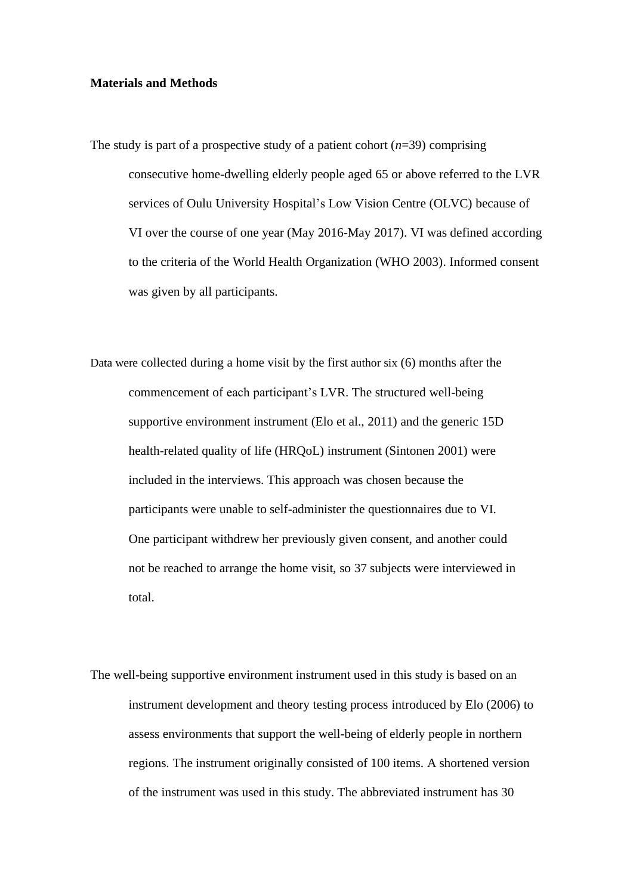#### **Materials and Methods**

- The study is part of a prospective study of a patient cohort  $(n=39)$  comprising consecutive home-dwelling elderly people aged 65 or above referred to the LVR services of Oulu University Hospital's Low Vision Centre (OLVC) because of VI over the course of one year (May 2016-May 2017). VI was defined according to the criteria of the World Health Organization (WHO 2003). Informed consent was given by all participants.
- Data were collected during a home visit by the first author six (6) months after the commencement of each participant's LVR. The structured well-being supportive environment instrument (Elo et al., 2011) and the generic 15D health-related quality of life (HRQoL) instrument (Sintonen 2001) were included in the interviews. This approach was chosen because the participants were unable to self-administer the questionnaires due to VI. One participant withdrew her previously given consent, and another could not be reached to arrange the home visit, so 37 subjects were interviewed in total.
- The well-being supportive environment instrument used in this study is based on an instrument development and theory testing process introduced by Elo (2006) to assess environments that support the well-being of elderly people in northern regions. The instrument originally consisted of 100 items. A shortened version of the instrument was used in this study. The abbreviated instrument has 30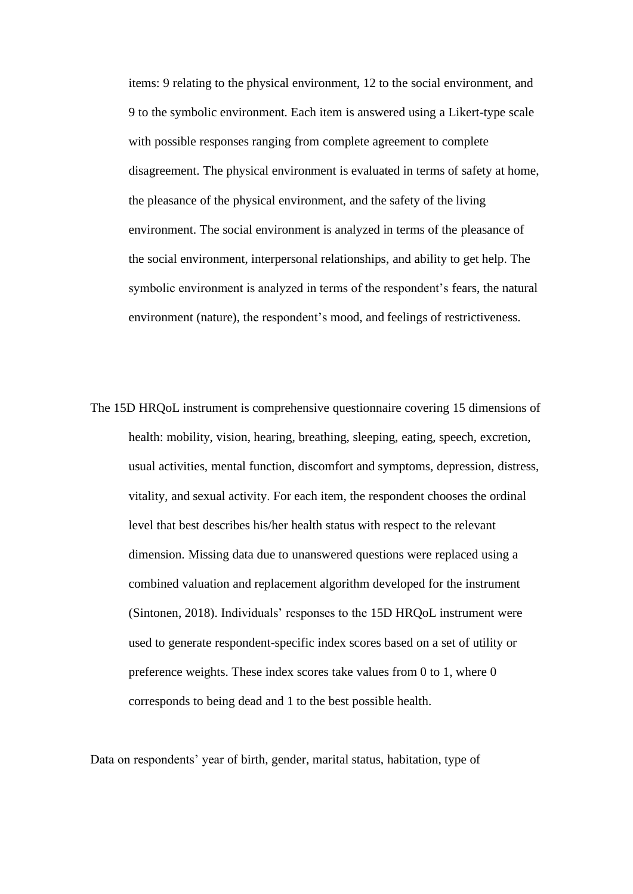items: 9 relating to the physical environment, 12 to the social environment, and 9 to the symbolic environment. Each item is answered using a Likert-type scale with possible responses ranging from complete agreement to complete disagreement. The physical environment is evaluated in terms of safety at home, the pleasance of the physical environment, and the safety of the living environment. The social environment is analyzed in terms of the pleasance of the social environment, interpersonal relationships, and ability to get help. The symbolic environment is analyzed in terms of the respondent's fears, the natural environment (nature), the respondent's mood, and feelings of restrictiveness.

The 15D HRQoL instrument is comprehensive questionnaire covering 15 dimensions of health: mobility, vision, hearing, breathing, sleeping, eating, speech, excretion, usual activities, mental function, discomfort and symptoms, depression, distress, vitality, and sexual activity. For each item, the respondent chooses the ordinal level that best describes his/her health status with respect to the relevant dimension. Missing data due to unanswered questions were replaced using a combined valuation and replacement algorithm developed for the instrument (Sintonen, 2018). Individuals' responses to the 15D HRQoL instrument were used to generate respondent-specific index scores based on a set of utility or preference weights. These index scores take values from 0 to 1, where 0 corresponds to being dead and 1 to the best possible health.

Data on respondents' year of birth, gender, marital status, habitation, type of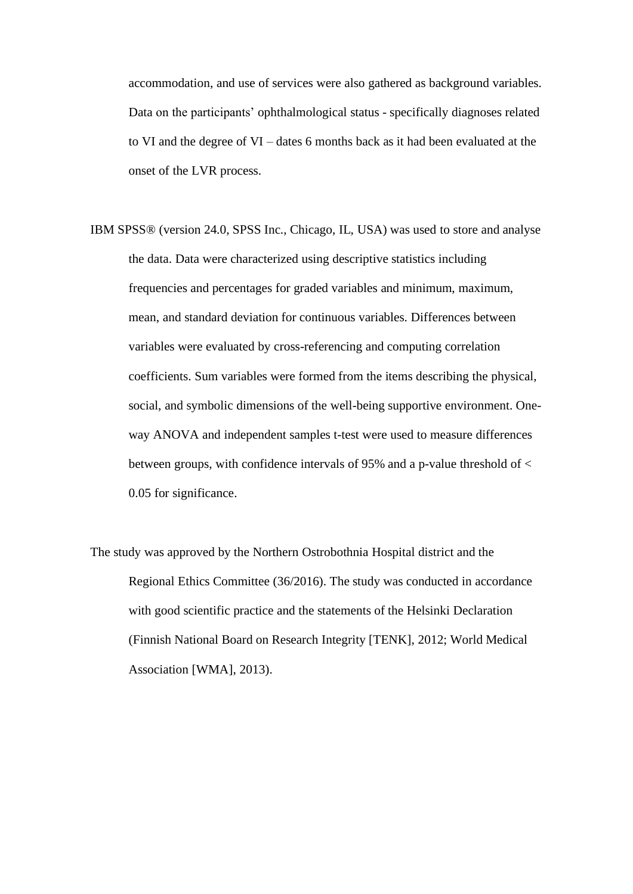accommodation, and use of services were also gathered as background variables. Data on the participants' ophthalmological status - specifically diagnoses related to VI and the degree of VI – dates 6 months back as it had been evaluated at the onset of the LVR process.

- IBM SPSS® (version 24.0, SPSS Inc., Chicago, IL, USA) was used to store and analyse the data. Data were characterized using descriptive statistics including frequencies and percentages for graded variables and minimum, maximum, mean, and standard deviation for continuous variables. Differences between variables were evaluated by cross-referencing and computing correlation coefficients. Sum variables were formed from the items describing the physical, social, and symbolic dimensions of the well-being supportive environment. Oneway ANOVA and independent samples t-test were used to measure differences between groups, with confidence intervals of 95% and a p-value threshold of < 0.05 for significance.
- The study was approved by the Northern Ostrobothnia Hospital district and the Regional Ethics Committee (36/2016). The study was conducted in accordance with good scientific practice and the statements of the Helsinki Declaration (Finnish National Board on Research Integrity [TENK], 2012; World Medical Association [WMA], 2013).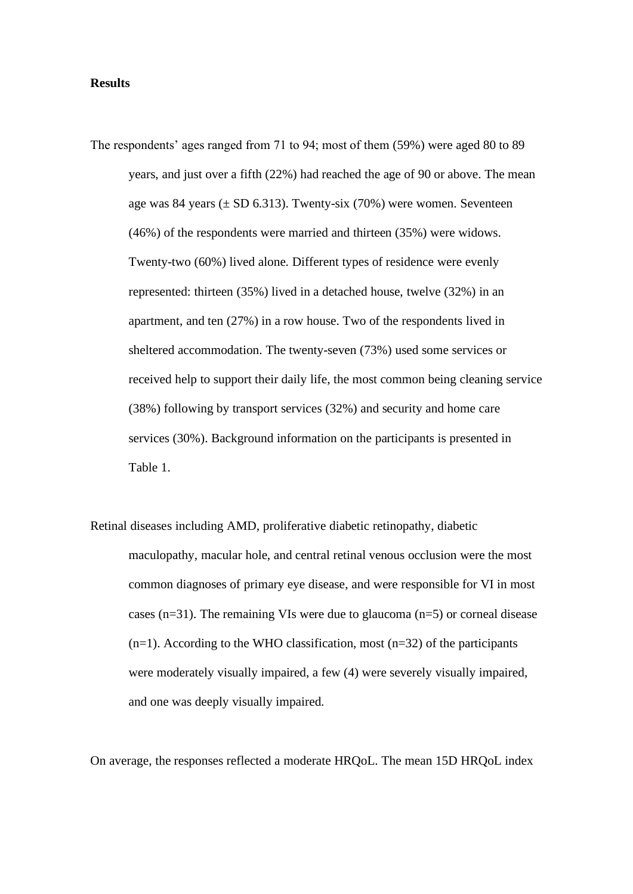#### **Results**

- The respondents' ages ranged from 71 to 94; most of them (59%) were aged 80 to 89 years, and just over a fifth (22%) had reached the age of 90 or above. The mean age was 84 years ( $\pm$  SD 6.313). Twenty-six (70%) were women. Seventeen (46%) of the respondents were married and thirteen (35%) were widows. Twenty-two (60%) lived alone. Different types of residence were evenly represented: thirteen (35%) lived in a detached house, twelve (32%) in an apartment, and ten (27%) in a row house. Two of the respondents lived in sheltered accommodation. The twenty-seven (73%) used some services or received help to support their daily life, the most common being cleaning service (38%) following by transport services (32%) and security and home care services (30%). Background information on the participants is presented in Table 1.
- Retinal diseases including AMD, proliferative diabetic retinopathy, diabetic maculopathy, macular hole, and central retinal venous occlusion were the most common diagnoses of primary eye disease, and were responsible for VI in most cases ( $n=31$ ). The remaining VIs were due to glaucoma ( $n=5$ ) or corneal disease  $(n=1)$ . According to the WHO classification, most  $(n=32)$  of the participants were moderately visually impaired, a few (4) were severely visually impaired, and one was deeply visually impaired.

On average, the responses reflected a moderate HRQoL. The mean 15D HRQoL index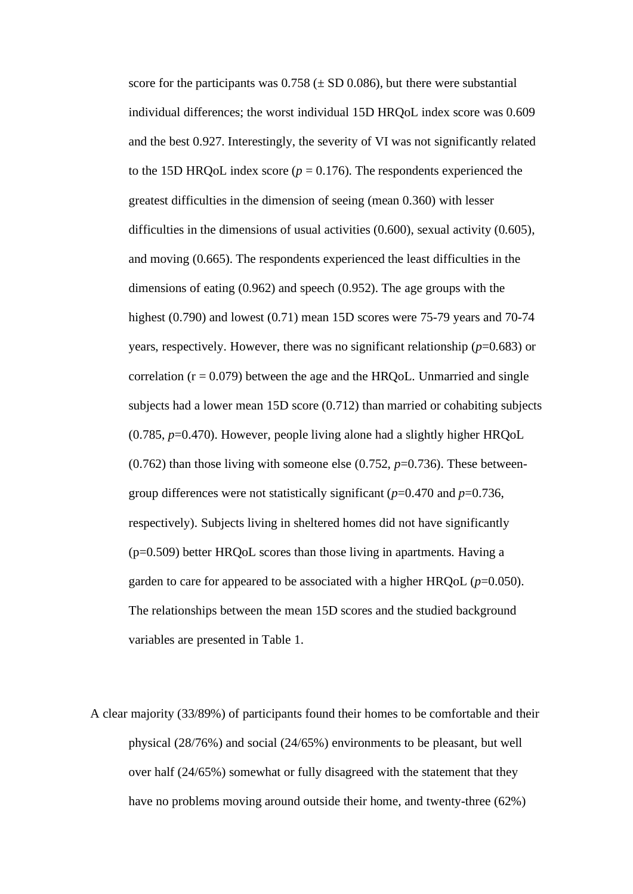score for the participants was  $0.758 \left( \pm \text{SD} 0.086 \right)$ , but there were substantial individual differences; the worst individual 15D HRQoL index score was 0.609 and the best 0.927. Interestingly, the severity of VI was not significantly related to the 15D HRQoL index score ( $p = 0.176$ ). The respondents experienced the greatest difficulties in the dimension of seeing (mean 0.360) with lesser difficulties in the dimensions of usual activities (0.600), sexual activity (0.605), and moving (0.665). The respondents experienced the least difficulties in the dimensions of eating (0.962) and speech (0.952). The age groups with the highest (0.790) and lowest (0.71) mean 15D scores were 75-79 years and 70-74 years, respectively. However, there was no significant relationship (*p*=0.683) or correlation  $(r = 0.079)$  between the age and the HRQoL. Unmarried and single subjects had a lower mean 15D score (0.712) than married or cohabiting subjects (0.785, *p*=0.470). However, people living alone had a slightly higher HRQoL  $(0.762)$  than those living with someone else  $(0.752, p=0.736)$ . These betweengroup differences were not statistically significant (*p*=0.470 and *p*=0.736, respectively). Subjects living in sheltered homes did not have significantly (p=0.509) better HRQoL scores than those living in apartments. Having a garden to care for appeared to be associated with a higher  $HRQoL (p=0.050)$ . The relationships between the mean 15D scores and the studied background variables are presented in Table 1.

A clear majority (33/89%) of participants found their homes to be comfortable and their physical (28/76%) and social (24/65%) environments to be pleasant, but well over half (24/65%) somewhat or fully disagreed with the statement that they have no problems moving around outside their home, and twenty-three (62%)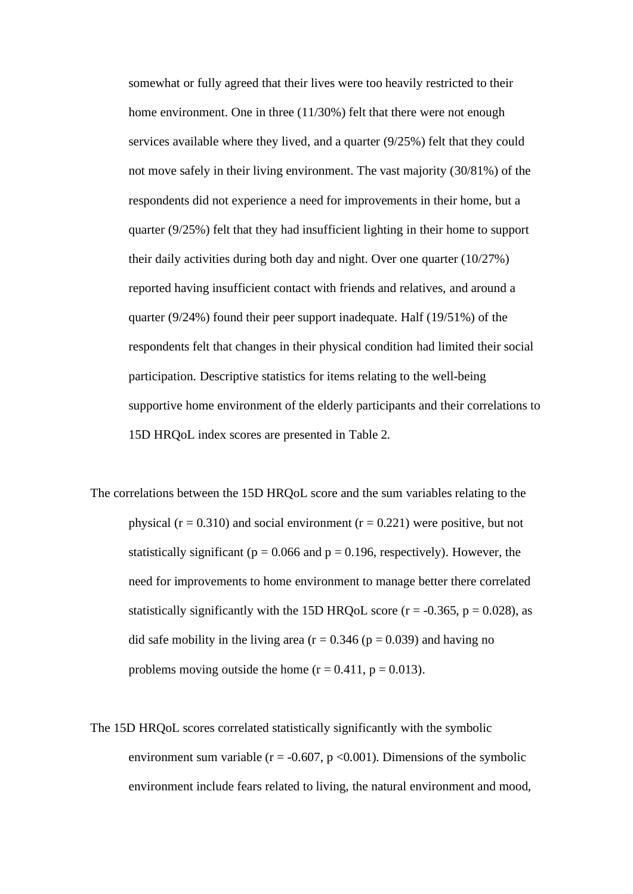somewhat or fully agreed that their lives were too heavily restricted to their home environment. One in three (11/30%) felt that there were not enough services available where they lived, and a quarter (9/25%) felt that they could not move safely in their living environment. The vast majority (30/81%) of the respondents did not experience a need for improvements in their home, but a quarter (9/25%) felt that they had insufficient lighting in their home to support their daily activities during both day and night. Over one quarter (10/27%) reported having insufficient contact with friends and relatives, and around a quarter (9/24%) found their peer support inadequate. Half (19/51%) of the respondents felt that changes in their physical condition had limited their social participation. Descriptive statistics for items relating to the well-being supportive home environment of the elderly participants and their correlations to 15D HRQoL index scores are presented in Table 2.

The correlations between the 15D HRQoL score and the sum variables relating to the physical ( $r = 0.310$ ) and social environment ( $r = 0.221$ ) were positive, but not statistically significant ( $p = 0.066$  and  $p = 0.196$ , respectively). However, the need for improvements to home environment to manage better there correlated statistically significantly with the 15D HRQoL score ( $r = -0.365$ ,  $p = 0.028$ ), as did safe mobility in the living area ( $r = 0.346$  ( $p = 0.039$ ) and having no problems moving outside the home  $(r = 0.411, p = 0.013)$ .

The 15D HRQoL scores correlated statistically significantly with the symbolic environment sum variable ( $r = -0.607$ ,  $p < 0.001$ ). Dimensions of the symbolic environment include fears related to living, the natural environment and mood,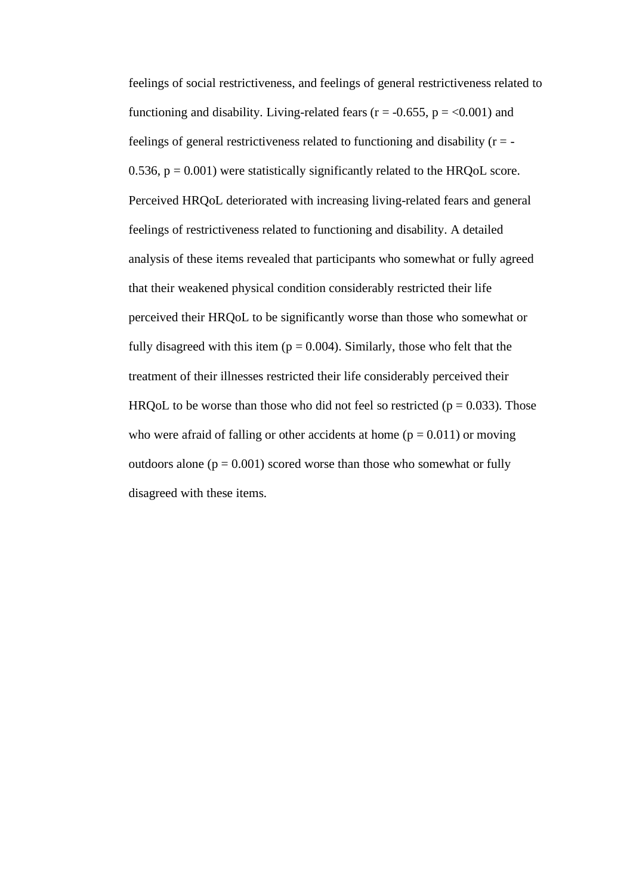feelings of social restrictiveness, and feelings of general restrictiveness related to functioning and disability. Living-related fears ( $r = -0.655$ ,  $p = <0.001$ ) and feelings of general restrictiveness related to functioning and disability  $(r = -1)$ 0.536,  $p = 0.001$ ) were statistically significantly related to the HRQoL score. Perceived HRQoL deteriorated with increasing living-related fears and general feelings of restrictiveness related to functioning and disability. A detailed analysis of these items revealed that participants who somewhat or fully agreed that their weakened physical condition considerably restricted their life perceived their HRQoL to be significantly worse than those who somewhat or fully disagreed with this item ( $p = 0.004$ ). Similarly, those who felt that the treatment of their illnesses restricted their life considerably perceived their HRQoL to be worse than those who did not feel so restricted ( $p = 0.033$ ). Those who were afraid of falling or other accidents at home ( $p = 0.011$ ) or moving outdoors alone  $(p = 0.001)$  scored worse than those who somewhat or fully disagreed with these items.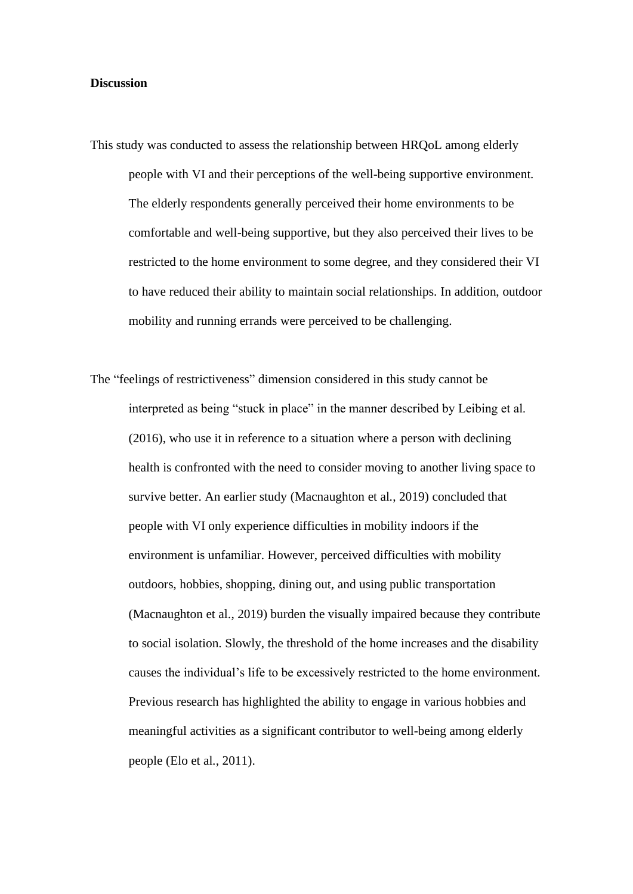#### **Discussion**

- This study was conducted to assess the relationship between HRQoL among elderly people with VI and their perceptions of the well-being supportive environment. The elderly respondents generally perceived their home environments to be comfortable and well-being supportive, but they also perceived their lives to be restricted to the home environment to some degree, and they considered their VI to have reduced their ability to maintain social relationships. In addition, outdoor mobility and running errands were perceived to be challenging.
- The "feelings of restrictiveness" dimension considered in this study cannot be interpreted as being "stuck in place" in the manner described by Leibing et al. (2016), who use it in reference to a situation where a person with declining health is confronted with the need to consider moving to another living space to survive better. An earlier study (Macnaughton et al., 2019) concluded that people with VI only experience difficulties in mobility indoors if the environment is unfamiliar. However, perceived difficulties with mobility outdoors, hobbies, shopping, dining out, and using public transportation (Macnaughton et al., 2019) burden the visually impaired because they contribute to social isolation. Slowly, the threshold of the home increases and the disability causes the individual's life to be excessively restricted to the home environment. Previous research has highlighted the ability to engage in various hobbies and meaningful activities as a significant contributor to well-being among elderly people (Elo et al., 2011).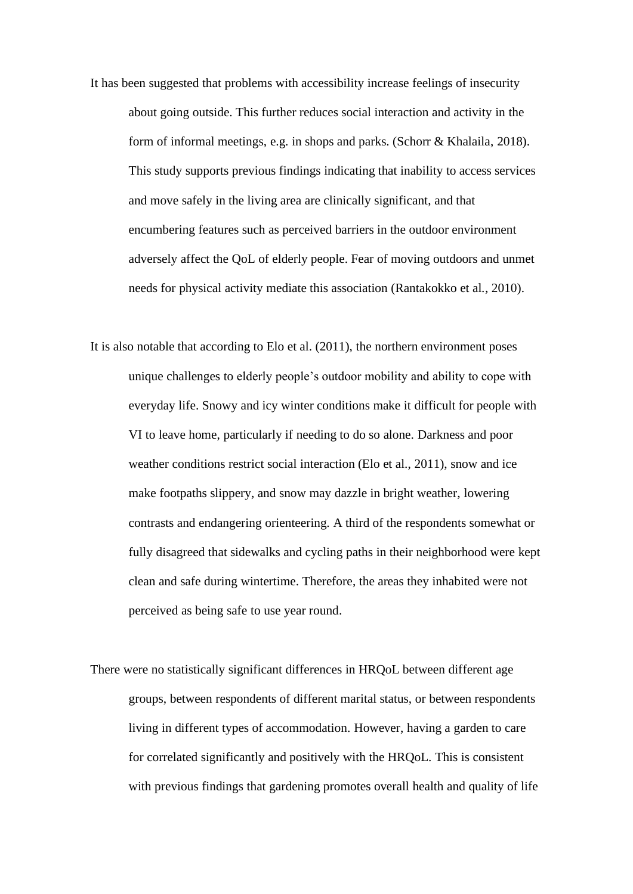- It has been suggested that problems with accessibility increase feelings of insecurity about going outside. This further reduces social interaction and activity in the form of informal meetings, e.g. in shops and parks. (Schorr & Khalaila, 2018). This study supports previous findings indicating that inability to access services and move safely in the living area are clinically significant, and that encumbering features such as perceived barriers in the outdoor environment adversely affect the QoL of elderly people. Fear of moving outdoors and unmet needs for physical activity mediate this association (Rantakokko et al., 2010).
- It is also notable that according to Elo et al. (2011), the northern environment poses unique challenges to elderly people's outdoor mobility and ability to cope with everyday life. Snowy and icy winter conditions make it difficult for people with VI to leave home, particularly if needing to do so alone. Darkness and poor weather conditions restrict social interaction (Elo et al., 2011), snow and ice make footpaths slippery, and snow may dazzle in bright weather, lowering contrasts and endangering orienteering. A third of the respondents somewhat or fully disagreed that sidewalks and cycling paths in their neighborhood were kept clean and safe during wintertime. Therefore, the areas they inhabited were not perceived as being safe to use year round.
- There were no statistically significant differences in HRQoL between different age groups, between respondents of different marital status, or between respondents living in different types of accommodation. However, having a garden to care for correlated significantly and positively with the HRQoL. This is consistent with previous findings that gardening promotes overall health and quality of life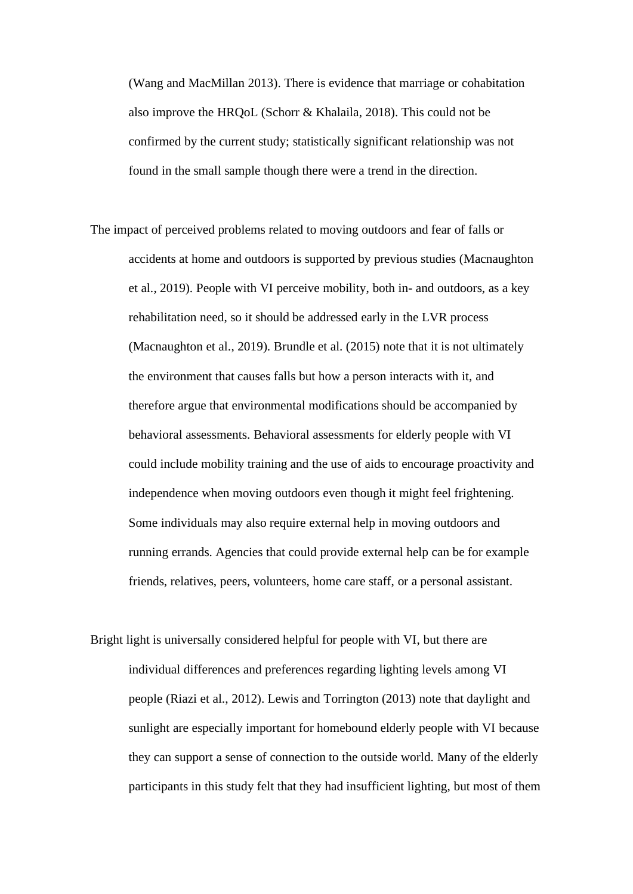(Wang and MacMillan 2013). There is evidence that marriage or cohabitation also improve the HRQoL (Schorr & Khalaila, 2018). This could not be confirmed by the current study; statistically significant relationship was not found in the small sample though there were a trend in the direction.

- The impact of perceived problems related to moving outdoors and fear of falls or accidents at home and outdoors is supported by previous studies (Macnaughton et al., 2019). People with VI perceive mobility, both in- and outdoors, as a key rehabilitation need, so it should be addressed early in the LVR process (Macnaughton et al., 2019). Brundle et al. (2015) note that it is not ultimately the environment that causes falls but how a person interacts with it, and therefore argue that environmental modifications should be accompanied by behavioral assessments. Behavioral assessments for elderly people with VI could include mobility training and the use of aids to encourage proactivity and independence when moving outdoors even though it might feel frightening. Some individuals may also require external help in moving outdoors and running errands. Agencies that could provide external help can be for example friends, relatives, peers, volunteers, home care staff, or a personal assistant.
- Bright light is universally considered helpful for people with VI, but there are individual differences and preferences regarding lighting levels among VI people (Riazi et al., 2012). Lewis and Torrington (2013) note that daylight and sunlight are especially important for homebound elderly people with VI because they can support a sense of connection to the outside world. Many of the elderly participants in this study felt that they had insufficient lighting, but most of them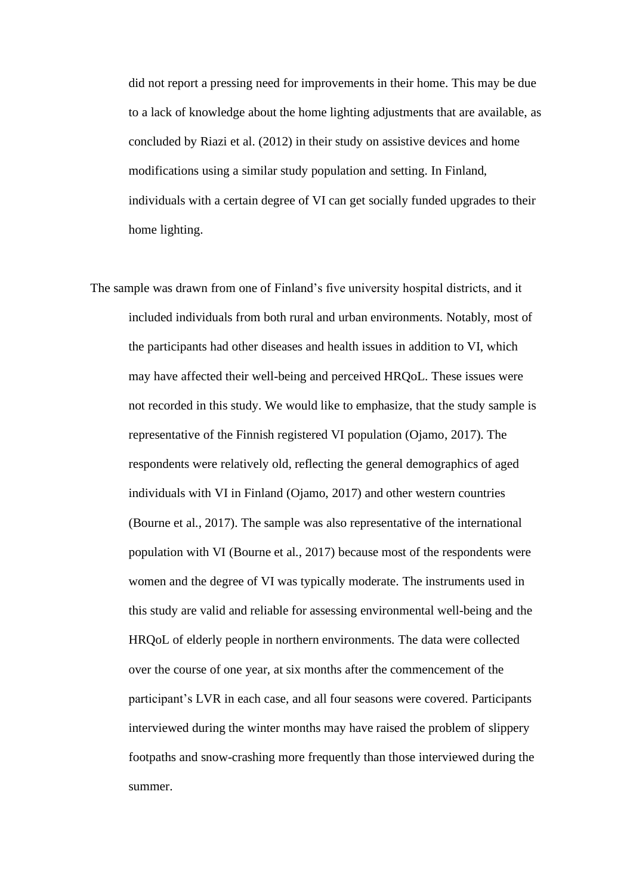did not report a pressing need for improvements in their home. This may be due to a lack of knowledge about the home lighting adjustments that are available, as concluded by Riazi et al. (2012) in their study on assistive devices and home modifications using a similar study population and setting. In Finland, individuals with a certain degree of VI can get socially funded upgrades to their home lighting.

The sample was drawn from one of Finland's five university hospital districts, and it included individuals from both rural and urban environments. Notably, most of the participants had other diseases and health issues in addition to VI, which may have affected their well-being and perceived HRQoL. These issues were not recorded in this study. We would like to emphasize, that the study sample is representative of the Finnish registered VI population (Ojamo, 2017). The respondents were relatively old, reflecting the general demographics of aged individuals with VI in Finland (Ojamo, 2017) and other western countries (Bourne et al., 2017). The sample was also representative of the international population with VI (Bourne et al., 2017) because most of the respondents were women and the degree of VI was typically moderate. The instruments used in this study are valid and reliable for assessing environmental well-being and the HRQoL of elderly people in northern environments. The data were collected over the course of one year, at six months after the commencement of the participant's LVR in each case, and all four seasons were covered. Participants interviewed during the winter months may have raised the problem of slippery footpaths and snow-crashing more frequently than those interviewed during the summer.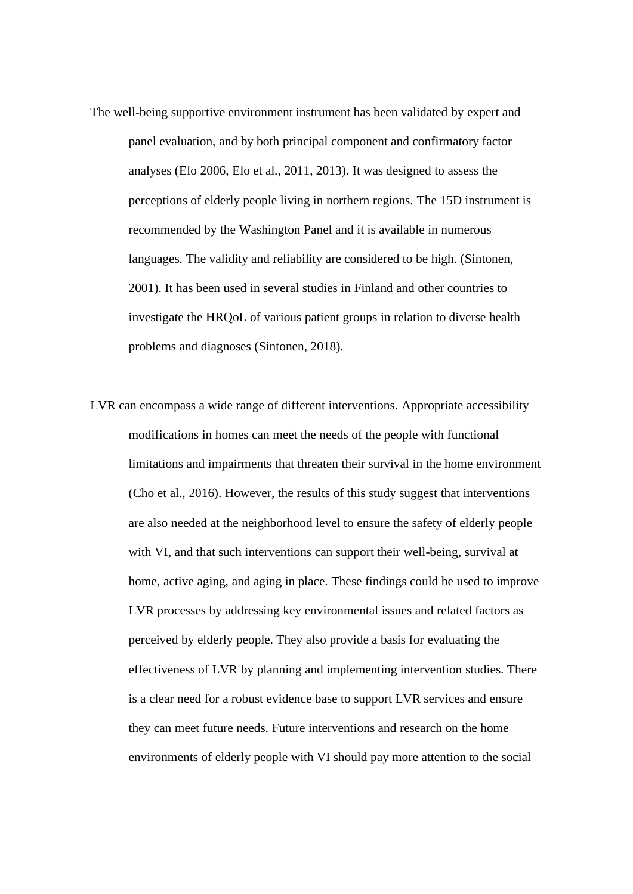- The well-being supportive environment instrument has been validated by expert and panel evaluation, and by both principal component and confirmatory factor analyses (Elo 2006, Elo et al., 2011, 2013). It was designed to assess the perceptions of elderly people living in northern regions. The 15D instrument is recommended by the Washington Panel and it is available in numerous languages. The validity and reliability are considered to be high. (Sintonen, 2001). It has been used in several studies in Finland and other countries to investigate the HRQoL of various patient groups in relation to diverse health problems and diagnoses (Sintonen, 2018).
- LVR can encompass a wide range of different interventions. Appropriate accessibility modifications in homes can meet the needs of the people with functional limitations and impairments that threaten their survival in the home environment (Cho et al., 2016). However, the results of this study suggest that interventions are also needed at the neighborhood level to ensure the safety of elderly people with VI, and that such interventions can support their well-being, survival at home, active aging, and aging in place. These findings could be used to improve LVR processes by addressing key environmental issues and related factors as perceived by elderly people. They also provide a basis for evaluating the effectiveness of LVR by planning and implementing intervention studies. There is a clear need for a robust evidence base to support LVR services and ensure they can meet future needs. Future interventions and research on the home environments of elderly people with VI should pay more attention to the social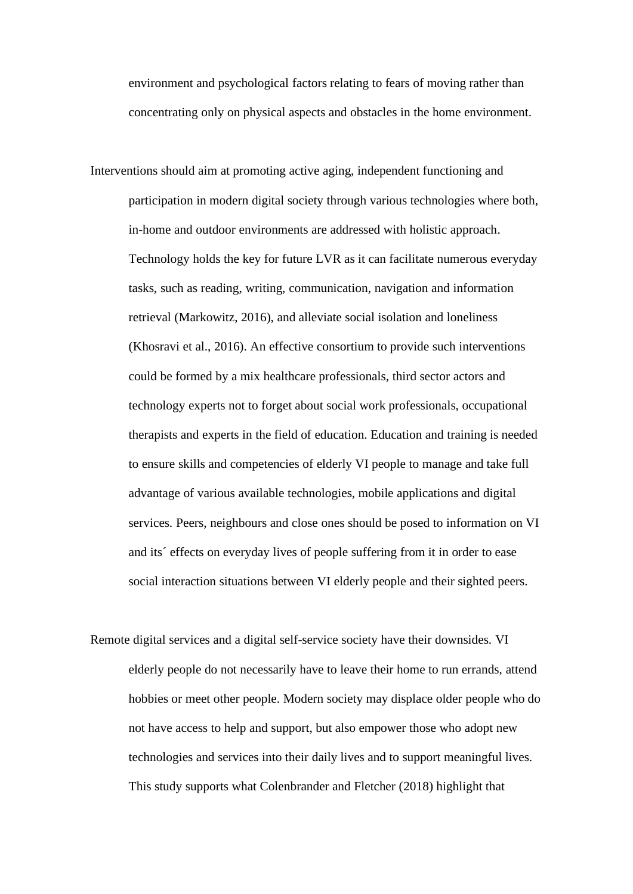environment and psychological factors relating to fears of moving rather than concentrating only on physical aspects and obstacles in the home environment.

Interventions should aim at promoting active aging, independent functioning and participation in modern digital society through various technologies where both, in-home and outdoor environments are addressed with holistic approach. Technology holds the key for future LVR as it can facilitate numerous everyday tasks, such as reading, writing, communication, navigation and information retrieval (Markowitz, 2016), and alleviate social isolation and loneliness (Khosravi et al., 2016). An effective consortium to provide such interventions could be formed by a mix healthcare professionals, third sector actors and technology experts not to forget about social work professionals, occupational therapists and experts in the field of education. Education and training is needed to ensure skills and competencies of elderly VI people to manage and take full advantage of various available technologies, mobile applications and digital services. Peers, neighbours and close ones should be posed to information on VI and its´ effects on everyday lives of people suffering from it in order to ease social interaction situations between VI elderly people and their sighted peers.

Remote digital services and a digital self-service society have their downsides. VI elderly people do not necessarily have to leave their home to run errands, attend hobbies or meet other people. Modern society may displace older people who do not have access to help and support, but also empower those who adopt new technologies and services into their daily lives and to support meaningful lives. This study supports what Colenbrander and Fletcher (2018) highlight that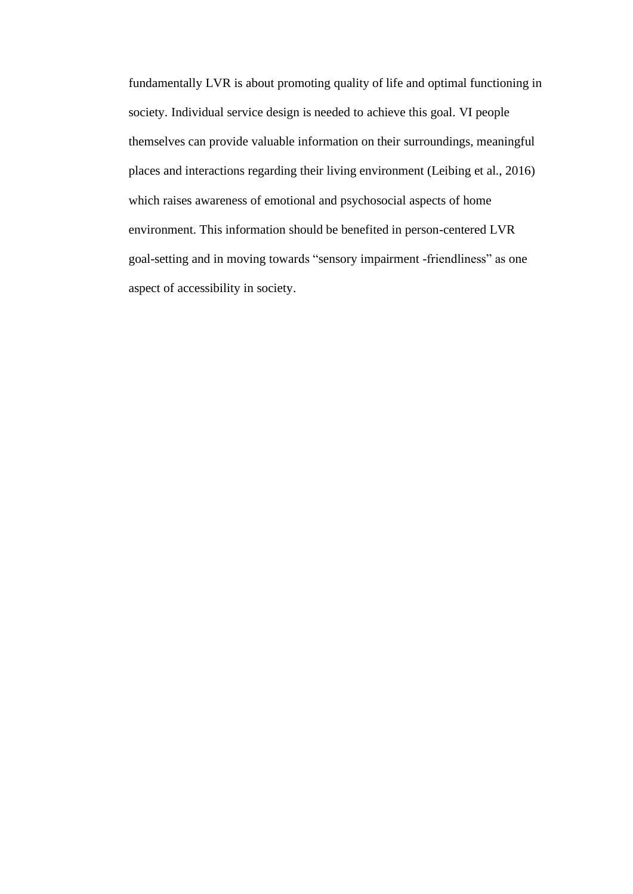fundamentally LVR is about promoting quality of life and optimal functioning in society. Individual service design is needed to achieve this goal. VI people themselves can provide valuable information on their surroundings, meaningful places and interactions regarding their living environment (Leibing et al., 2016) which raises awareness of emotional and psychosocial aspects of home environment. This information should be benefited in person-centered LVR goal-setting and in moving towards "sensory impairment -friendliness" as one aspect of accessibility in society.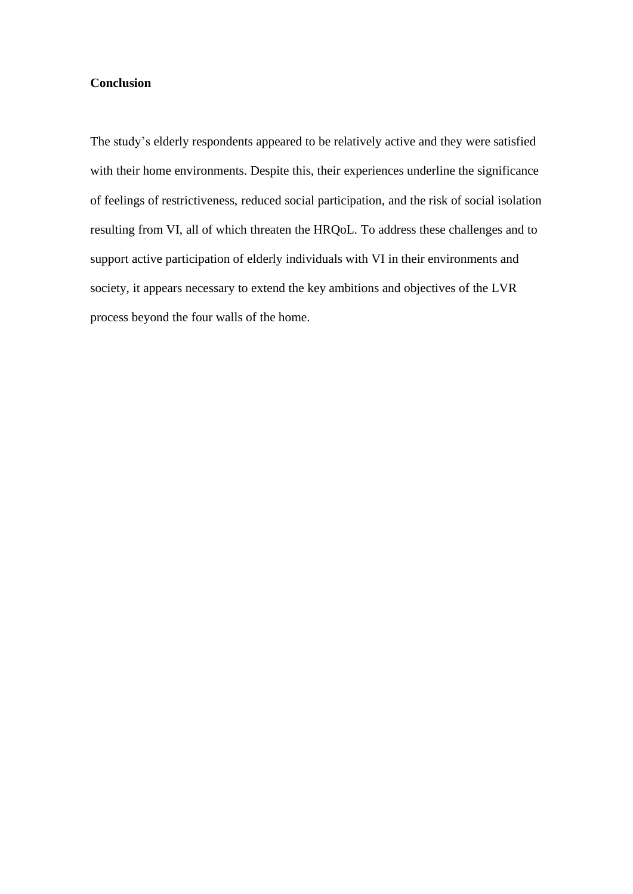## **Conclusion**

The study's elderly respondents appeared to be relatively active and they were satisfied with their home environments. Despite this, their experiences underline the significance of feelings of restrictiveness, reduced social participation, and the risk of social isolation resulting from VI, all of which threaten the HRQoL. To address these challenges and to support active participation of elderly individuals with VI in their environments and society, it appears necessary to extend the key ambitions and objectives of the LVR process beyond the four walls of the home.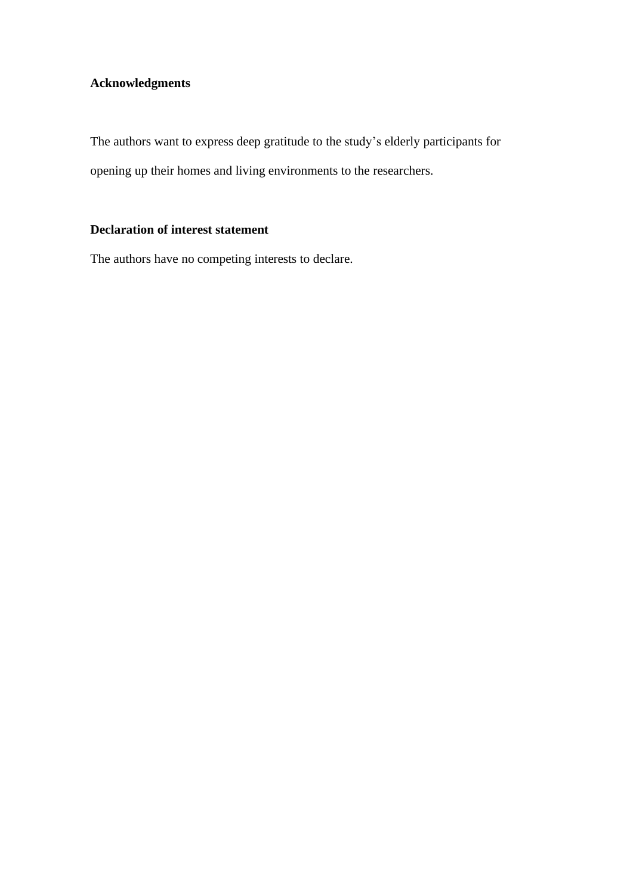# **Acknowledgments**

The authors want to express deep gratitude to the study's elderly participants for opening up their homes and living environments to the researchers.

## **Declaration of interest statement**

The authors have no competing interests to declare.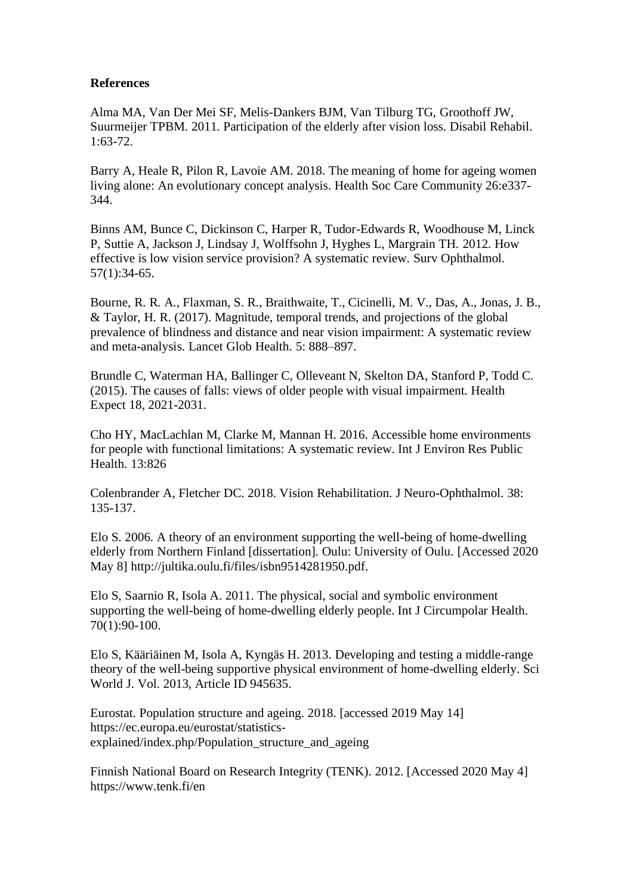### **References**

Alma MA, Van Der Mei SF, Melis-Dankers BJM, Van Tilburg TG, Groothoff JW, Suurmeijer TPBM. 2011. Participation of the elderly after vision loss. Disabil Rehabil. 1:63-72.

Barry A, Heale R, Pilon R, Lavoie AM. 2018. The meaning of home for ageing women living alone: An evolutionary concept analysis. Health Soc Care Community 26:e337- 344.

Binns AM, Bunce C, Dickinson C, Harper R, Tudor-Edwards R, Woodhouse M, Linck P, Suttie A, Jackson J, Lindsay J, Wolffsohn J, Hyghes L, Margrain TH. 2012. How effective is low vision service provision? A systematic review. Surv Ophthalmol. 57(1):34-65.

Bourne, R. R. A., Flaxman, S. R., Braithwaite, T., Cicinelli, M. V., Das, A., Jonas, J. B., & Taylor, H. R. (2017). Magnitude, temporal trends, and projections of the global prevalence of blindness and distance and near vision impairment: A systematic review and meta-analysis. Lancet Glob Health. 5: 888–897.

Brundle C, Waterman HA, Ballinger C, Olleveant N, Skelton DA, Stanford P, Todd C. (2015). The causes of falls: views of older people with visual impairment. Health Expect 18, 2021-2031.

Cho HY, MacLachlan M, Clarke M, Mannan H. 2016. Accessible home environments for people with functional limitations: A systematic review. Int J Environ Res Public Health. 13:826

Colenbrander A, Fletcher DC. 2018. Vision Rehabilitation. J Neuro-Ophthalmol. 38: 135-137.

Elo S. 2006. A theory of an environment supporting the well-being of home-dwelling elderly from Northern Finland [dissertation]. Oulu: University of Oulu. [Accessed 2020 May 8] http://jultika.oulu.fi/files/isbn9514281950.pdf.

Elo S, Saarnio R, Isola A. 2011. The physical, social and symbolic environment supporting the well-being of home-dwelling elderly people. Int J Circumpolar Health. 70(1):90-100.

Elo S, Kääriäinen M, Isola A, Kyngäs H. 2013. Developing and testing a middle-range theory of the well-being supportive physical environment of home-dwelling elderly. Sci World J. Vol. 2013, Article ID 945635.

Eurostat. Population structure and ageing. 2018. [accessed 2019 May 14] https://ec.europa.eu/eurostat/statisticsexplained/index.php/Population structure and ageing

Finnish National Board on Research Integrity (TENK). 2012. [Accessed 2020 May 4] https://www.tenk.fi/en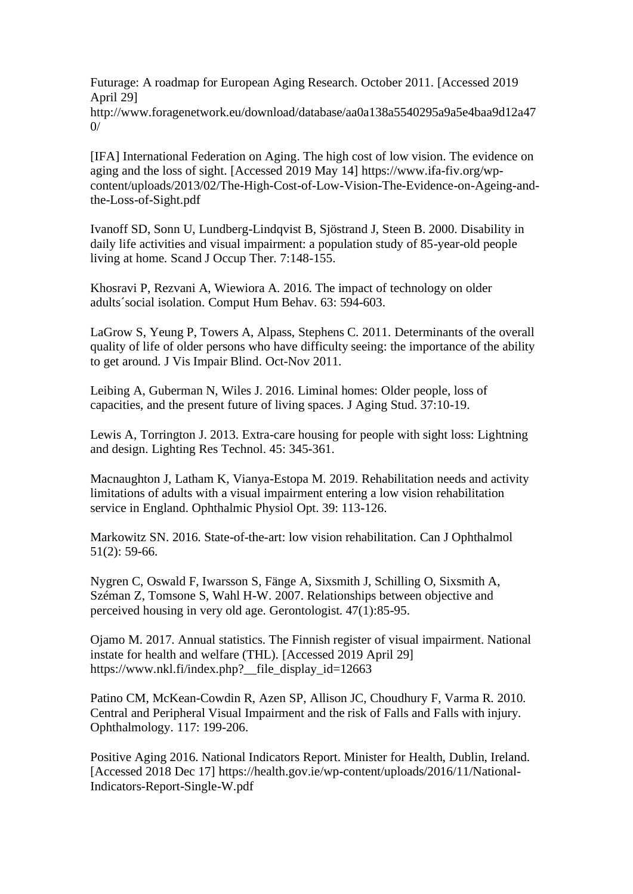Futurage: A roadmap for European Aging Research. October 2011. [Accessed 2019 April 29]

http://www.foragenetwork.eu/download/database/aa0a138a5540295a9a5e4baa9d12a47  $0/$ 

[IFA] International Federation on Aging. The high cost of low vision. The evidence on aging and the loss of sight. [Accessed 2019 May 14] https://www.ifa-fiv.org/wpcontent/uploads/2013/02/The-High-Cost-of-Low-Vision-The-Evidence-on-Ageing-andthe-Loss-of-Sight.pdf

Ivanoff SD, Sonn U, Lundberg-Lindqvist B, Sjöstrand J, Steen B. 2000. Disability in daily life activities and visual impairment: a population study of 85-year-old people living at home. Scand J Occup Ther. 7:148-155.

Khosravi P, Rezvani A, Wiewiora A. 2016. The impact of technology on older adults´social isolation. Comput Hum Behav. 63: 594-603.

LaGrow S, Yeung P, Towers A, Alpass, Stephens C. 2011. Determinants of the overall quality of life of older persons who have difficulty seeing: the importance of the ability to get around. J Vis Impair Blind. Oct-Nov 2011.

Leibing A, Guberman N, Wiles J. 2016. Liminal homes: Older people, loss of capacities, and the present future of living spaces. J Aging Stud. 37:10-19.

Lewis A, Torrington J. 2013. Extra-care housing for people with sight loss: Lightning and design. Lighting Res Technol. 45: 345-361.

Macnaughton J, Latham K, Vianya-Estopa M. 2019. Rehabilitation needs and activity limitations of adults with a visual impairment entering a low vision rehabilitation service in England. Ophthalmic Physiol Opt. 39: 113-126.

Markowitz SN. 2016. State-of-the-art: low vision rehabilitation. Can J Ophthalmol 51(2): 59-66.

Nygren C, Oswald F, Iwarsson S, Fänge A, Sixsmith J, Schilling O, Sixsmith A, Széman Z, Tomsone S, Wahl H-W. 2007. Relationships between objective and perceived housing in very old age. Gerontologist. 47(1):85-95.

Ojamo M. 2017. Annual statistics. The Finnish register of visual impairment. National instate for health and welfare (THL). [Accessed 2019 April 29] https://www.nkl.fi/index.php?\_\_file\_display\_id=12663

Patino CM, McKean-Cowdin R, Azen SP, Allison JC, Choudhury F, Varma R. 2010. Central and Peripheral Visual Impairment and the risk of Falls and Falls with injury. Ophthalmology. 117: 199-206.

Positive Aging 2016. National Indicators Report. Minister for Health, Dublin, Ireland. [Accessed 2018 Dec 17] https://health.gov.ie/wp-content/uploads/2016/11/National-Indicators-Report-Single-W.pdf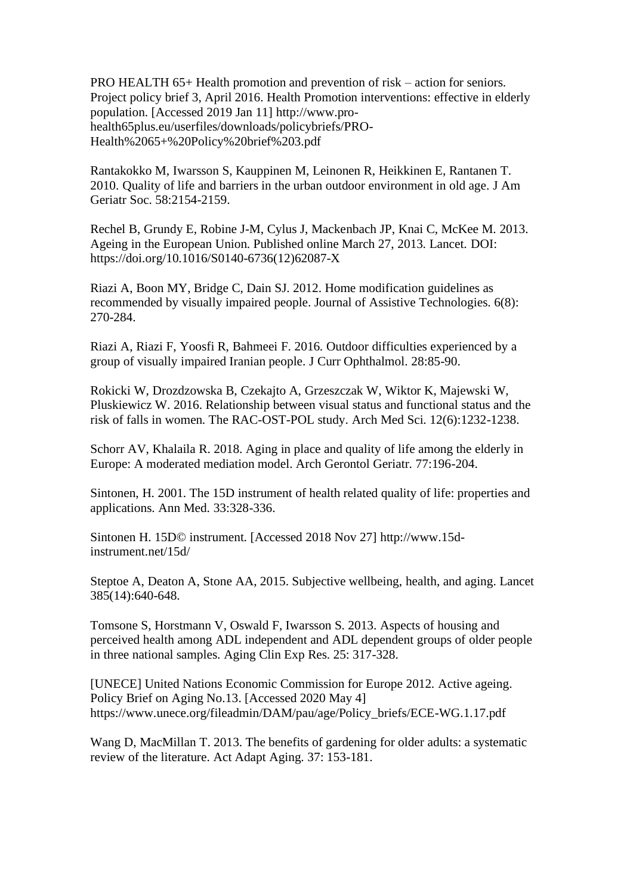PRO HEALTH 65+ Health promotion and prevention of risk – action for seniors. Project policy brief 3, April 2016. Health Promotion interventions: effective in elderly population. [Accessed 2019 Jan 11] http://www.prohealth65plus.eu/userfiles/downloads/policybriefs/PRO-Health%2065+%20Policy%20brief%203.pdf

Rantakokko M, Iwarsson S, Kauppinen M, Leinonen R, Heikkinen E, Rantanen T. 2010. Quality of life and barriers in the urban outdoor environment in old age. J Am Geriatr Soc. 58:2154-2159.

Rechel B, Grundy E, Robine J-M, Cylus J, Mackenbach JP, Knai C, McKee M. 2013. Ageing in the European Union. Published online March 27, 2013. Lancet. DOI: https://doi.org/10.1016/S0140-6736(12)62087-X

Riazi A, Boon MY, Bridge C, Dain SJ. 2012. Home modification guidelines as recommended by visually impaired people. Journal of Assistive Technologies. 6(8): 270-284.

Riazi A, Riazi F, Yoosfi R, Bahmeei F. 2016. Outdoor difficulties experienced by a group of visually impaired Iranian people. J Curr Ophthalmol. 28:85-90.

Rokicki W, Drozdzowska B, Czekajto A, Grzeszczak W, Wiktor K, Majewski W, Pluskiewicz W. 2016. Relationship between visual status and functional status and the risk of falls in women. The RAC-OST-POL study. Arch Med Sci. 12(6):1232-1238.

Schorr AV, Khalaila R. 2018. Aging in place and quality of life among the elderly in Europe: A moderated mediation model. Arch Gerontol Geriatr. 77:196-204.

Sintonen, H. 2001. The 15D instrument of health related quality of life: properties and applications. Ann Med. 33:328-336.

Sintonen H. 15D© instrument. [Accessed 2018 Nov 27] http://www.15dinstrument.net/15d/

Steptoe A, Deaton A, Stone AA, 2015. Subjective wellbeing, health, and aging. Lancet 385(14):640-648.

Tomsone S, Horstmann V, Oswald F, Iwarsson S. 2013. Aspects of housing and perceived health among ADL independent and ADL dependent groups of older people in three national samples. Aging Clin Exp Res. 25: 317-328.

[UNECE] United Nations Economic Commission for Europe 2012. Active ageing. Policy Brief on Aging No.13. [Accessed 2020 May 4] https://www.unece.org/fileadmin/DAM/pau/age/Policy\_briefs/ECE-WG.1.17.pdf

Wang D, MacMillan T. 2013. The benefits of gardening for older adults: a systematic review of the literature. Act Adapt Aging. 37: 153-181.